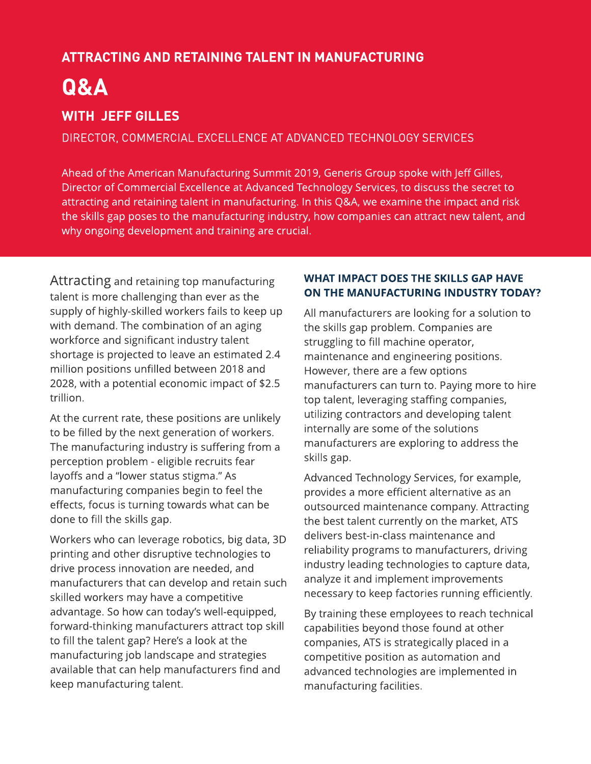# ATTRACTINGAND RETAININGTALENT IN MANUFACTURING

# Q&A

# WITH JEFF GILLES

DIRECTOR, COMMERCIAL EXCELLENCE AT ADVANCED TECHNOLOGY SERVICES

Ahead of the American Manufacturing Summit 2019, Generis Group spoke with Jeff Gilles, Director of Commercial Excellence at Advanced Technology Services, to discuss the secret to attracting and retaining talent in manufacturing. In this Q&A, we examine the impact and risk the skills gap poses to the manufacturing industry, how companies can attract new talent, and why ongoing development and training are crucial.

Attracting and retaining top manufacturing talent is more challenging than ever as the supply of highly-skilled workers fails to keep up with demand. The combination of an aging workforce and significant industry talent shortage is projected to leave an estimated 2.4 million positions unfilled between 2018 and 2028, with a potential economic impact of \$2.5 trillion.

At the current rate, these positions are unlikely to be filled by the next generation of workers. The manufacturing industry is suffering from a perception problem - eligible recruits fear layoffs and a "lower status stigma." As manufacturing companies begin to feel the effects, focus is turning towards what can be done to fill the skills gap.

Workers who can leverage robotics, big data, 3D printing and other disruptive technologies to drive process innovation are needed, and manufacturers that can develop and retain such skilled workers may have a competitive advantage. So how can today's well-equipped, forward-thinking manufacturers attract top skill to fill the talent gap? Here's a look at the manufacturing job landscape and strategies available that can help manufacturers find and keep manufacturing talent.

## WHAT IMPACT DOES THE SKILLS GAP HAVE ON THE MANUFACTURING INDUSTRY TODAY?

All manufacturers are looking for a solution to the skills gap problem. Companies are struggling to fill machine operator, maintenance and engineering positions. However, there are a few options manufacturers can turn to. Paying more to hire top talent, leveraging staffing companies, utilizing contractors and developing talent internally are some of the solutions manufacturers are exploring to address the skills gap.

Advanced Technology Services, for example, provides a more efficient alternative as an outsourced maintenance company. Attracting the best talent currently on the market, ATS delivers best-in-class maintenance and reliability programs to manufacturers, driving industry leading technologies to capture data, analyze it and implement improvements necessary to keep factories running efficiently.

By training these employees to reach technical capabilities beyond those found at other companies, ATS is strategically placed in a competitive position as automation and advanced technologies are implemented in manufacturing facilities.